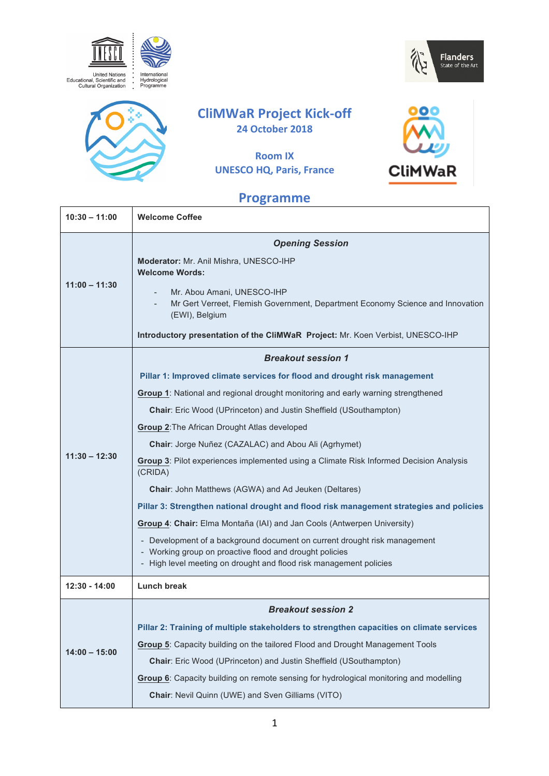





# **CliMWaR Project Kick-off 24 October 2018**

# **Room IX UNESCO HQ, Paris, France**



# **Programme**

| $10:30 - 11:00$ | <b>Welcome Coffee</b>                                                                                                                |
|-----------------|--------------------------------------------------------------------------------------------------------------------------------------|
| $11:00 - 11:30$ | <b>Opening Session</b>                                                                                                               |
|                 | Moderator: Mr. Anil Mishra, UNESCO-IHP<br><b>Welcome Words:</b>                                                                      |
|                 | Mr. Abou Amani, UNESCO-IHP<br>Mr Gert Verreet, Flemish Government, Department Economy Science and Innovation<br>(EWI), Belgium       |
|                 | Introductory presentation of the CliMWaR Project: Mr. Koen Verbist, UNESCO-IHP                                                       |
|                 | <b>Breakout session 1</b>                                                                                                            |
| $11:30 - 12:30$ | Pillar 1: Improved climate services for flood and drought risk management                                                            |
|                 | Group 1: National and regional drought monitoring and early warning strengthened                                                     |
|                 | Chair: Eric Wood (UPrinceton) and Justin Sheffield (USouthampton)                                                                    |
|                 | Group 2: The African Drought Atlas developed                                                                                         |
|                 | Chair: Jorge Nuñez (CAZALAC) and Abou Ali (Agrhymet)                                                                                 |
|                 | Group 3: Pilot experiences implemented using a Climate Risk Informed Decision Analysis<br>(CRIDA)                                    |
|                 | Chair: John Matthews (AGWA) and Ad Jeuken (Deltares)                                                                                 |
|                 | Pillar 3: Strengthen national drought and flood risk management strategies and policies                                              |
|                 | Group 4: Chair: Elma Montaña (IAI) and Jan Cools (Antwerpen University)                                                              |
|                 | - Development of a background document on current drought risk management<br>- Working group on proactive flood and drought policies |
|                 | - High level meeting on drought and flood risk management policies                                                                   |
| 12:30 - 14:00   | <b>Lunch break</b>                                                                                                                   |
|                 | <b>Breakout session 2</b>                                                                                                            |
| $14:00 - 15:00$ | Pillar 2: Training of multiple stakeholders to strengthen capacities on climate services                                             |
|                 | Group 5: Capacity building on the tailored Flood and Drought Management Tools                                                        |
|                 |                                                                                                                                      |
|                 | Chair: Eric Wood (UPrinceton) and Justin Sheffield (USouthampton)                                                                    |
|                 | Group 6: Capacity building on remote sensing for hydrological monitoring and modelling                                               |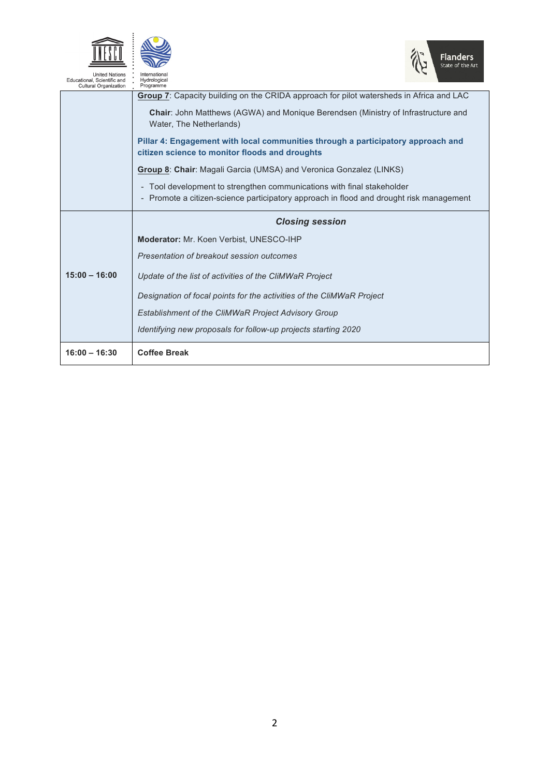



| Educational, Scientific and<br><b>Cultural Organization</b> | Hydrological<br>Programme                                                                                                                                         |
|-------------------------------------------------------------|-------------------------------------------------------------------------------------------------------------------------------------------------------------------|
|                                                             | Group 7: Capacity building on the CRIDA approach for pilot watersheds in Africa and LAC                                                                           |
|                                                             | <b>Chair:</b> John Matthews (AGWA) and Monique Berendsen (Ministry of Infrastructure and<br>Water, The Netherlands)                                               |
|                                                             | Pillar 4: Engagement with local communities through a participatory approach and<br>citizen science to monitor floods and droughts                                |
|                                                             | Group 8: Chair: Magali Garcia (UMSA) and Veronica Gonzalez (LINKS)                                                                                                |
|                                                             | - Tool development to strengthen communications with final stakeholder<br>- Promote a citizen-science participatory approach in flood and drought risk management |
|                                                             | <b>Closing session</b>                                                                                                                                            |
|                                                             |                                                                                                                                                                   |
|                                                             | Moderator: Mr. Koen Verbist, UNESCO-IHP                                                                                                                           |
|                                                             | Presentation of breakout session outcomes                                                                                                                         |
| $15:00 - 16:00$                                             | Update of the list of activities of the CliMWaR Project                                                                                                           |
|                                                             | Designation of focal points for the activities of the CliMWaR Project                                                                                             |
|                                                             | Establishment of the CliMWaR Project Advisory Group                                                                                                               |
|                                                             | Identifying new proposals for follow-up projects starting 2020                                                                                                    |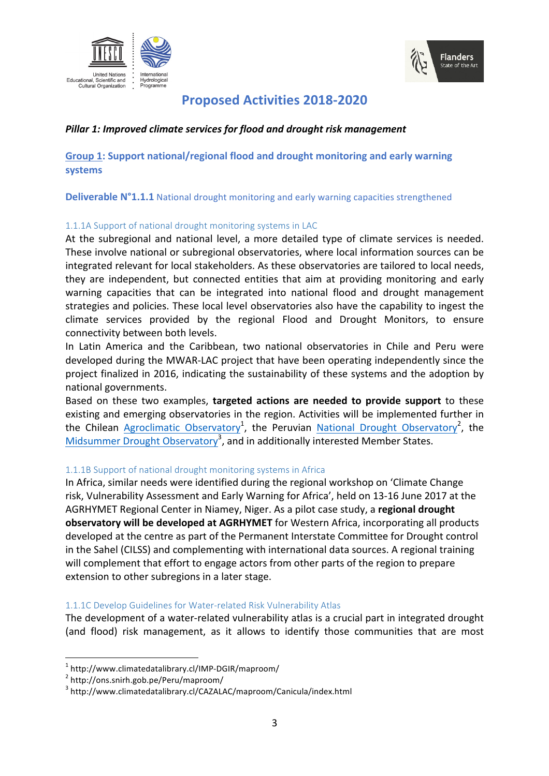



# **Proposed Activities 2018-2020**

# *Pillar 1: Improved climate services for flood and drought risk management*

**Group 1: Support national/regional flood and drought monitoring and early warning systems**

**Deliverable N°1.1.1** National drought monitoring and early warning capacities strengthened

# 1.1.1A Support of national drought monitoring systems in LAC

At the subregional and national level, a more detailed type of climate services is needed. These involve national or subregional observatories, where local information sources can be integrated relevant for local stakeholders. As these observatories are tailored to local needs, they are independent, but connected entities that aim at providing monitoring and early warning capacities that can be integrated into national flood and drought management strategies and policies. These local level observatories also have the capability to ingest the climate services provided by the regional Flood and Drought Monitors, to ensure connectivity between both levels.

In Latin America and the Caribbean, two national observatories in Chile and Peru were developed during the MWAR-LAC project that have been operating independently since the project finalized in 2016, indicating the sustainability of these systems and the adoption by national governments.

Based on these two examples, targeted actions are needed to provide support to these existing and emerging observatories in the region. Activities will be implemented further in the Chilean Agroclimatic Observatory<sup>1</sup>, the Peruvian National Drought Observatory<sup>2</sup>, the Midsummer Drought Observatory<sup>3</sup>, and in additionally interested Member States.

# 1.1.1B Support of national drought monitoring systems in Africa

In Africa, similar needs were identified during the regional workshop on 'Climate Change risk, Vulnerability Assessment and Early Warning for Africa', held on 13-16 June 2017 at the AGRHYMET Regional Center in Niamey, Niger. As a pilot case study, a **regional drought observatory will be developed at AGRHYMET** for Western Africa, incorporating all products developed at the centre as part of the Permanent Interstate Committee for Drought control in the Sahel (CILSS) and complementing with international data sources. A regional training will complement that effort to engage actors from other parts of the region to prepare extension to other subregions in a later stage.

### 1.1.1C Develop Guidelines for Water-related Risk Vulnerability Atlas

The development of a water-related vulnerability atlas is a crucial part in integrated drought (and flood) risk management, as it allows to identify those communities that are most

 $1 \text{ http://www.climatedatalibrary.cl/IMP-DGIR/maproom/}$ <br> $2 \text{ http://ons.snirth.gob.pe/Peru/maproom/}$ 

<sup>3</sup> http://www.climatedatalibrary.cl/CAZALAC/maproom/Canicula/index.html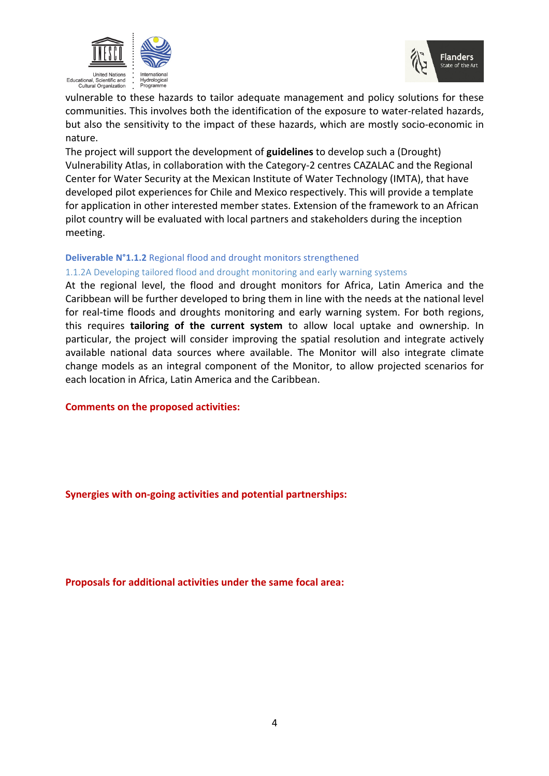



vulnerable to these hazards to tailor adequate management and policy solutions for these communities. This involves both the identification of the exposure to water-related hazards, but also the sensitivity to the impact of these hazards, which are mostly socio-economic in nature. 

The project will support the development of **guidelines** to develop such a (Drought) Vulnerability Atlas, in collaboration with the Category-2 centres CAZALAC and the Regional Center for Water Security at the Mexican Institute of Water Technology (IMTA), that have developed pilot experiences for Chile and Mexico respectively. This will provide a template for application in other interested member states. Extension of the framework to an African pilot country will be evaluated with local partners and stakeholders during the inception meeting.

#### **Deliverable N°1.1.2** Regional flood and drought monitors strengthened

#### 1.1.2A Developing tailored flood and drought monitoring and early warning systems

At the regional level, the flood and drought monitors for Africa, Latin America and the Caribbean will be further developed to bring them in line with the needs at the national level for real-time floods and droughts monitoring and early warning system. For both regions, this requires **tailoring of the current system** to allow local uptake and ownership. In particular, the project will consider improving the spatial resolution and integrate actively available national data sources where available. The Monitor will also integrate climate change models as an integral component of the Monitor, to allow projected scenarios for each location in Africa, Latin America and the Caribbean.

**Comments on the proposed activities:** 

**Synergies with on-going activities and potential partnerships:**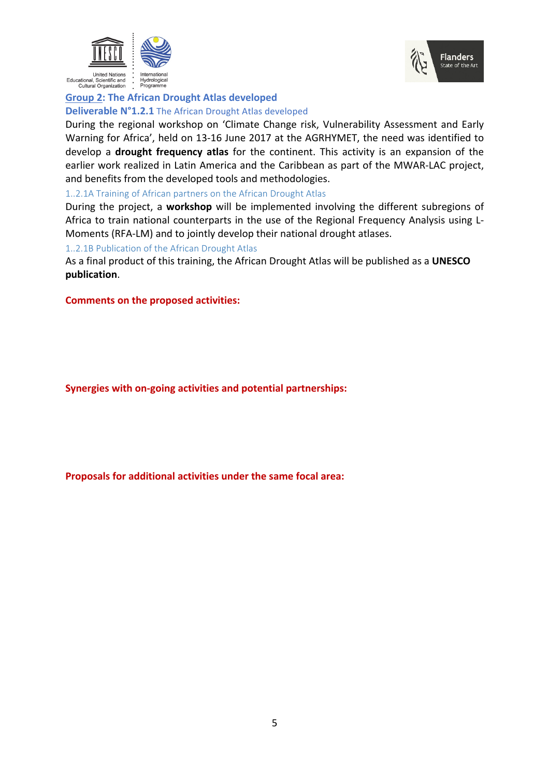



# **Group 2: The African Drought Atlas developed Deliverable N°1.2.1** The African Drought Atlas developed

During the regional workshop on 'Climate Change risk, Vulnerability Assessment and Early Warning for Africa', held on 13-16 June 2017 at the AGRHYMET, the need was identified to develop a **drought frequency atlas** for the continent. This activity is an expansion of the earlier work realized in Latin America and the Caribbean as part of the MWAR-LAC project, and benefits from the developed tools and methodologies.

### 1..2.1A Training of African partners on the African Drought Atlas

During the project, a workshop will be implemented involving the different subregions of Africa to train national counterparts in the use of the Regional Frequency Analysis using L-Moments (RFA-LM) and to jointly develop their national drought atlases.

### 1..2.1B Publication of the African Drought Atlas

As a final product of this training, the African Drought Atlas will be published as a **UNESCO publication**.

#### **Comments on the proposed activities:**

**Synergies with on-going activities and potential partnerships:**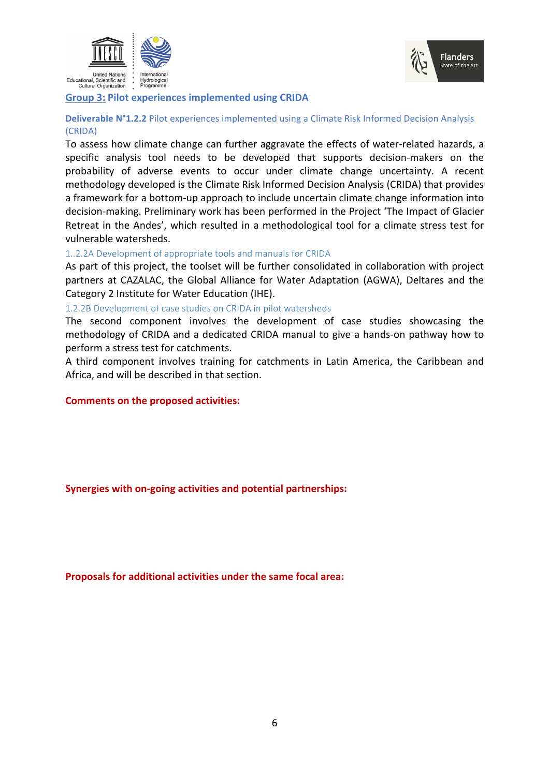



#### **Group 3: Pilot experiences implemented using CRIDA**

### **Deliverable N°1.2.2** Pilot experiences implemented using a Climate Risk Informed Decision Analysis (CRIDA)

To assess how climate change can further aggravate the effects of water-related hazards, a specific analysis tool needs to be developed that supports decision-makers on the probability of adverse events to occur under climate change uncertainty. A recent methodology developed is the Climate Risk Informed Decision Analysis (CRIDA) that provides a framework for a bottom-up approach to include uncertain climate change information into decision-making. Preliminary work has been performed in the Project 'The Impact of Glacier Retreat in the Andes', which resulted in a methodological tool for a climate stress test for vulnerable watersheds.

#### 1..2.2A Development of appropriate tools and manuals for CRIDA

As part of this project, the toolset will be further consolidated in collaboration with project partners at CAZALAC, the Global Alliance for Water Adaptation (AGWA), Deltares and the Category 2 Institute for Water Education (IHE).

#### 1.2.2B Development of case studies on CRIDA in pilot watersheds

The second component involves the development of case studies showcasing the methodology of CRIDA and a dedicated CRIDA manual to give a hands-on pathway how to perform a stress test for catchments.

A third component involves training for catchments in Latin America, the Caribbean and Africa, and will be described in that section.

#### **Comments on the proposed activities:**

### **Synergies with on-going activities and potential partnerships:**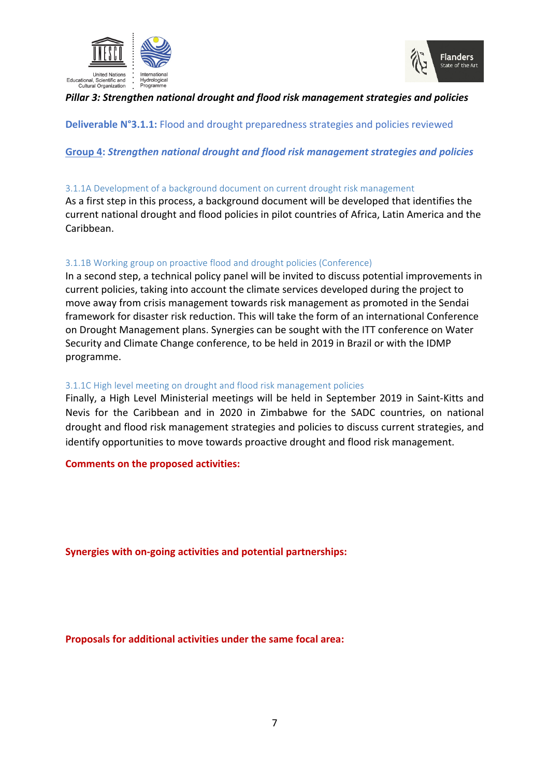



# *Pillar 3: Strengthen national drought and flood risk management strategies and policies*

**Deliverable N°3.1.1:** Flood and drought preparedness strategies and policies reviewed

# Group 4: Strengthen national drought and flood risk management strategies and policies

### 3.1.1A Development of a background document on current drought risk management

As a first step in this process, a background document will be developed that identifies the current national drought and flood policies in pilot countries of Africa, Latin America and the Caribbean.

# 3.1.1B Working group on proactive flood and drought policies (Conference)

In a second step, a technical policy panel will be invited to discuss potential improvements in current policies, taking into account the climate services developed during the project to move away from crisis management towards risk management as promoted in the Sendai framework for disaster risk reduction. This will take the form of an international Conference on Drought Management plans. Synergies can be sought with the ITT conference on Water Security and Climate Change conference, to be held in 2019 in Brazil or with the IDMP programme.

### 3.1.1C High level meeting on drought and flood risk management policies

Finally, a High Level Ministerial meetings will be held in September 2019 in Saint-Kitts and Nevis for the Caribbean and in 2020 in Zimbabwe for the SADC countries, on national drought and flood risk management strategies and policies to discuss current strategies, and identify opportunities to move towards proactive drought and flood risk management.

### **Comments on the proposed activities:**

**Synergies with on-going activities and potential partnerships:**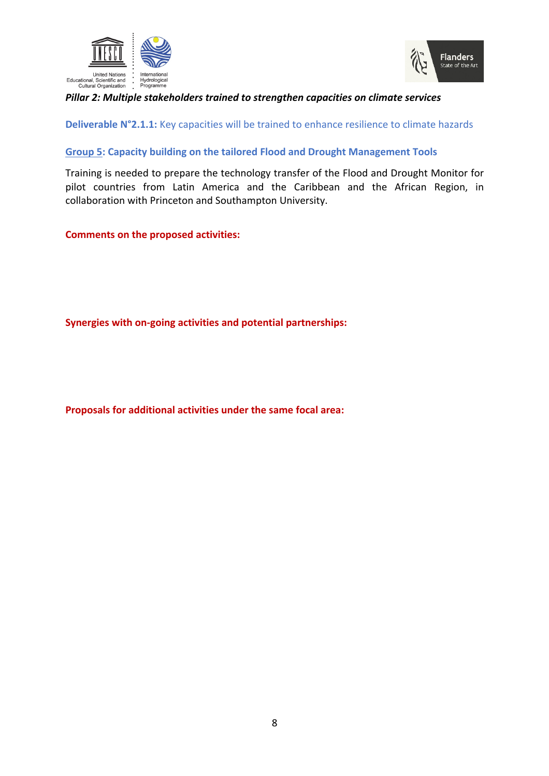



# *Pillar 2: Multiple stakeholders trained to strengthen capacities on climate services*

**Deliverable N°2.1.1:** Key capacities will be trained to enhance resilience to climate hazards

# **Group 5: Capacity building on the tailored Flood and Drought Management Tools**

Training is needed to prepare the technology transfer of the Flood and Drought Monitor for pilot countries from Latin America and the Caribbean and the African Region, in collaboration with Princeton and Southampton University.

**Comments on the proposed activities:** 

**Synergies with on-going activities and potential partnerships:**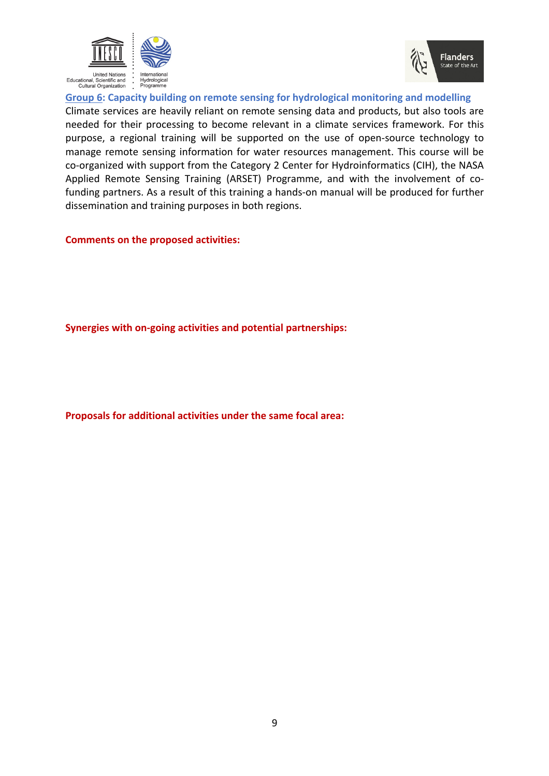



Group 6: Capacity building on remote sensing for hydrological monitoring and modelling Climate services are heavily reliant on remote sensing data and products, but also tools are needed for their processing to become relevant in a climate services framework. For this purpose, a regional training will be supported on the use of open-source technology to manage remote sensing information for water resources management. This course will be co-organized with support from the Category 2 Center for Hydroinformatics (CIH), the NASA Applied Remote Sensing Training (ARSET) Programme, and with the involvement of cofunding partners. As a result of this training a hands-on manual will be produced for further dissemination and training purposes in both regions.

# **Comments on the proposed activities:**

**Synergies with on-going activities and potential partnerships:**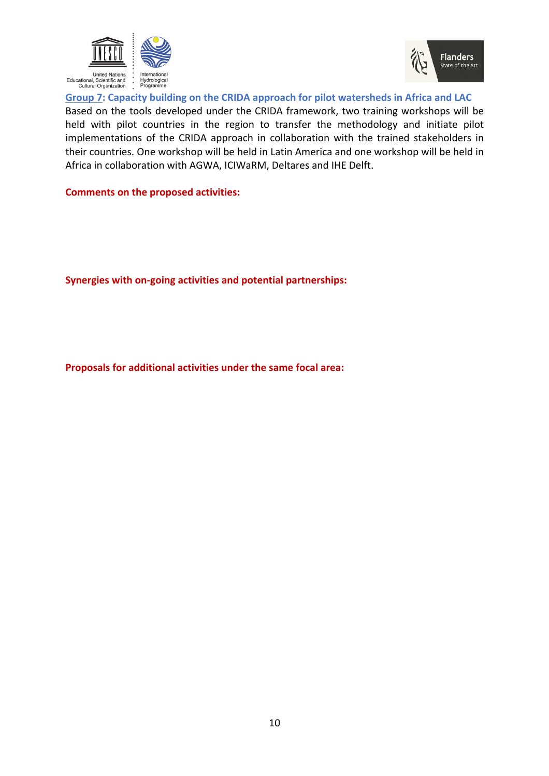



Group 7: Capacity building on the CRIDA approach for pilot watersheds in Africa and LAC Based on the tools developed under the CRIDA framework, two training workshops will be held with pilot countries in the region to transfer the methodology and initiate pilot implementations of the CRIDA approach in collaboration with the trained stakeholders in their countries. One workshop will be held in Latin America and one workshop will be held in Africa in collaboration with AGWA, ICIWaRM, Deltares and IHE Delft.

**Comments on the proposed activities:** 

**Synergies with on-going activities and potential partnerships:**